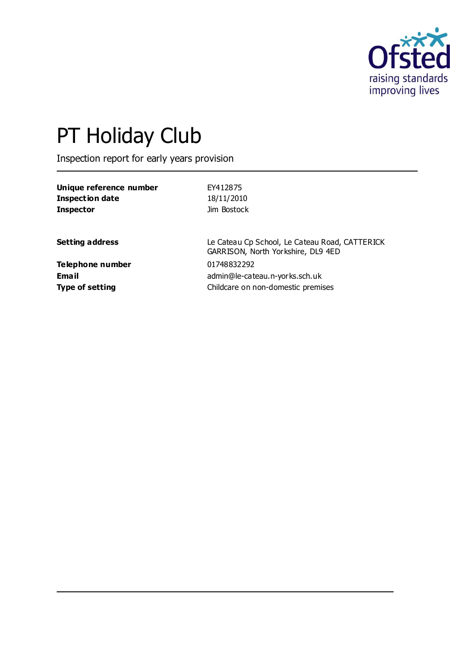

# PT Holiday Club

Inspection report for early years provision

| Unique reference number | EY412875                                                                             |
|-------------------------|--------------------------------------------------------------------------------------|
| <b>Inspection date</b>  | 18/11/2010                                                                           |
| <b>Inspector</b>        | Jim Bostock                                                                          |
| <b>Setting address</b>  | Le Cateau Cp School, Le Cateau Road, CATTERICK<br>GARRISON, North Yorkshire, DL9 4ED |
| Telephone number        | 01748832292                                                                          |
| <b>Email</b>            | admin@le-cateau.n-yorks.sch.uk                                                       |
| <b>Type of setting</b>  | Childcare on non-domestic premises                                                   |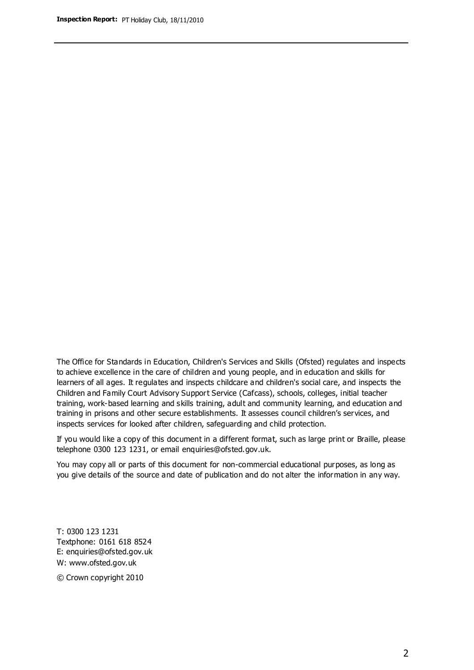The Office for Standards in Education, Children's Services and Skills (Ofsted) regulates and inspects to achieve excellence in the care of children and young people, and in education and skills for learners of all ages. It regulates and inspects childcare and children's social care, and inspects the Children and Family Court Advisory Support Service (Cafcass), schools, colleges, initial teacher training, work-based learning and skills training, adult and community learning, and education and training in prisons and other secure establishments. It assesses council children's services, and inspects services for looked after children, safeguarding and child protection.

If you would like a copy of this document in a different format, such as large print or Braille, please telephone 0300 123 1231, or email enquiries@ofsted.gov.uk.

You may copy all or parts of this document for non-commercial educational purposes, as long as you give details of the source and date of publication and do not alter the information in any way.

T: 0300 123 1231 Textphone: 0161 618 8524 E: enquiries@ofsted.gov.uk W: [www.ofsted.gov.uk](http://www.ofsted.gov.uk/)

© Crown copyright 2010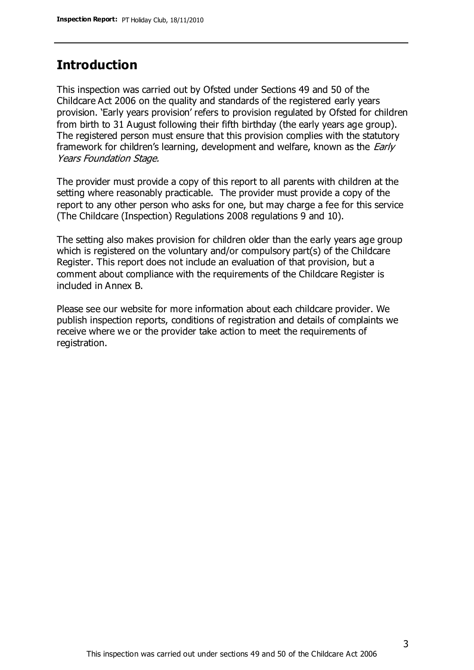## **Introduction**

This inspection was carried out by Ofsted under Sections 49 and 50 of the Childcare Act 2006 on the quality and standards of the registered early years provision. 'Early years provision' refers to provision regulated by Ofsted for children from birth to 31 August following their fifth birthday (the early years age group). The registered person must ensure that this provision complies with the statutory framework for children's learning, development and welfare, known as the *Early* Years Foundation Stage.

The provider must provide a copy of this report to all parents with children at the setting where reasonably practicable. The provider must provide a copy of the report to any other person who asks for one, but may charge a fee for this service (The Childcare (Inspection) Regulations 2008 regulations 9 and 10).

The setting also makes provision for children older than the early years age group which is registered on the voluntary and/or compulsory part(s) of the Childcare Register. This report does not include an evaluation of that provision, but a comment about compliance with the requirements of the Childcare Register is included in Annex B.

Please see our website for more information about each childcare provider. We publish inspection reports, conditions of registration and details of complaints we receive where we or the provider take action to meet the requirements of registration.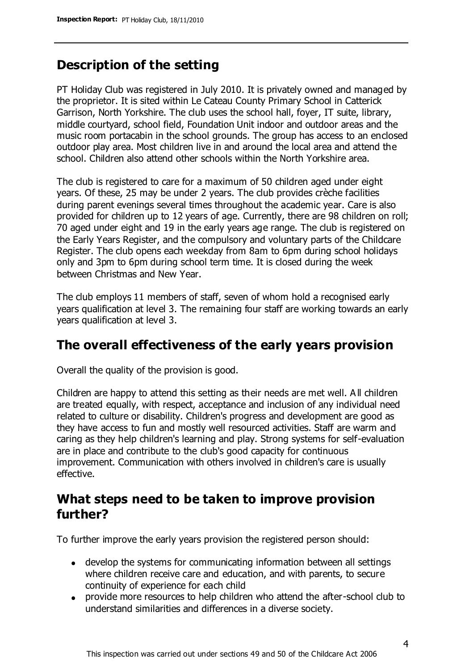# **Description of the setting**

PT Holiday Club was registered in July 2010. It is privately owned and managed by the proprietor. It is sited within Le Cateau County Primary School in Catterick Garrison, North Yorkshire. The club uses the school hall, foyer, IT suite, library, middle courtyard, school field, Foundation Unit indoor and outdoor areas and the music room portacabin in the school grounds. The group has access to an enclosed outdoor play area. Most children live in and around the local area and attend the school. Children also attend other schools within the North Yorkshire area.

The club is registered to care for a maximum of 50 children aged under eight years. Of these, 25 may be under 2 years. The club provides crèche facilities during parent evenings several times throughout the academic year. Care is also provided for children up to 12 years of age. Currently, there are 98 children on roll; 70 aged under eight and 19 in the early years age range. The club is registered on the Early Years Register, and the compulsory and voluntary parts of the Childcare Register. The club opens each weekday from 8am to 6pm during school holidays only and 3pm to 6pm during school term time. It is closed during the week between Christmas and New Year.

The club employs 11 members of staff, seven of whom hold a recognised early years qualification at level 3. The remaining four staff are working towards an early years qualification at level 3.

## **The overall effectiveness of the early years provision**

Overall the quality of the provision is good.

Children are happy to attend this setting as their needs are met well. A ll children are treated equally, with respect, acceptance and inclusion of any individual need related to culture or disability. Children's progress and development are good as they have access to fun and mostly well resourced activities. Staff are warm and caring as they help children's learning and play. Strong systems for self-evaluation are in place and contribute to the club's good capacity for continuous improvement. Communication with others involved in children's care is usually effective.

## **What steps need to be taken to improve provision further?**

To further improve the early years provision the registered person should:

- develop the systems for communicating information between all settings where children receive care and education, and with parents, to secure continuity of experience for each child
- provide more resources to help children who attend the after-school club to understand similarities and differences in a diverse society.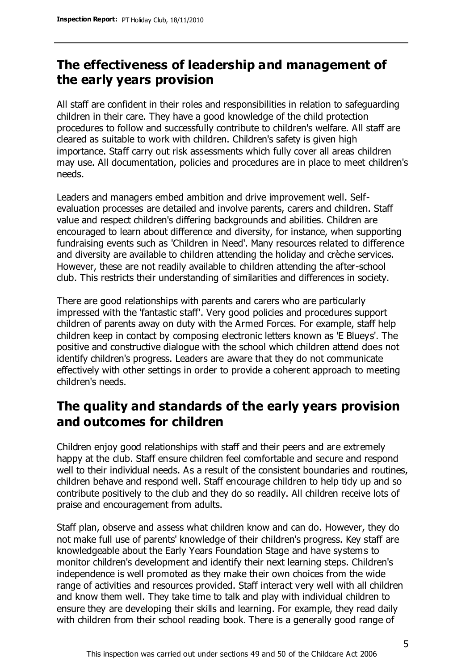# **The effectiveness of leadership and management of the early years provision**

All staff are confident in their roles and responsibilities in relation to safeguarding children in their care. They have a good knowledge of the child protection procedures to follow and successfully contribute to children's welfare. All staff are cleared as suitable to work with children. Children's safety is given high importance. Staff carry out risk assessments which fully cover all areas children may use. All documentation, policies and procedures are in place to meet children's needs.

Leaders and managers embed ambition and drive improvement well. Selfevaluation processes are detailed and involve parents, carers and children. Staff value and respect children's differing backgrounds and abilities. Children are encouraged to learn about difference and diversity, for instance, when supporting fundraising events such as 'Children in Need'. Many resources related to difference and diversity are available to children attending the holiday and crèche services. However, these are not readily available to children attending the after-school club. This restricts their understanding of similarities and differences in society.

There are good relationships with parents and carers who are particularly impressed with the 'fantastic staff'. Very good policies and procedures support children of parents away on duty with the Armed Forces. For example, staff help children keep in contact by composing electronic letters known as 'E Blueys'. The positive and constructive dialogue with the school which children attend does not identify children's progress. Leaders are aware that they do not communicate effectively with other settings in order to provide a coherent approach to meeting children's needs.

# **The quality and standards of the early years provision and outcomes for children**

Children enjoy good relationships with staff and their peers and are extremely happy at the club. Staff ensure children feel comfortable and secure and respond well to their individual needs. As a result of the consistent boundaries and routines, children behave and respond well. Staff encourage children to help tidy up and so contribute positively to the club and they do so readily. All children receive lots of praise and encouragement from adults.

Staff plan, observe and assess what children know and can do. However, they do not make full use of parents' knowledge of their children's progress. Key staff are knowledgeable about the Early Years Foundation Stage and have systems to monitor children's development and identify their next learning steps. Children's independence is well promoted as they make their own choices from the wide range of activities and resources provided. Staff interact very well with all children and know them well. They take time to talk and play with individual children to ensure they are developing their skills and learning. For example, they read daily with children from their school reading book. There is a generally good range of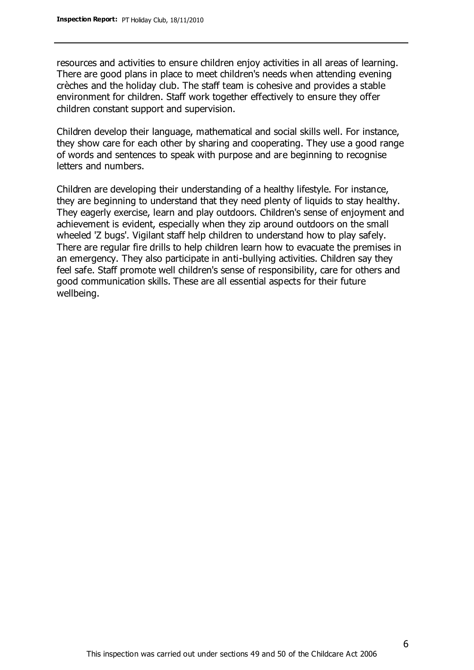resources and activities to ensure children enjoy activities in all areas of learning. There are good plans in place to meet children's needs when attending evening crèches and the holiday club. The staff team is cohesive and provides a stable environment for children. Staff work together effectively to ensure they offer children constant support and supervision.

Children develop their language, mathematical and social skills well. For instance, they show care for each other by sharing and cooperating. They use a good range of words and sentences to speak with purpose and are beginning to recognise letters and numbers.

Children are developing their understanding of a healthy lifestyle. For instance, they are beginning to understand that they need plenty of liquids to stay healthy. They eagerly exercise, learn and play outdoors. Children's sense of enjoyment and achievement is evident, especially when they zip around outdoors on the small wheeled 'Z bugs'. Vigilant staff help children to understand how to play safely. There are regular fire drills to help children learn how to evacuate the premises in an emergency. They also participate in anti-bullying activities. Children say they feel safe. Staff promote well children's sense of responsibility, care for others and good communication skills. These are all essential aspects for their future wellbeing.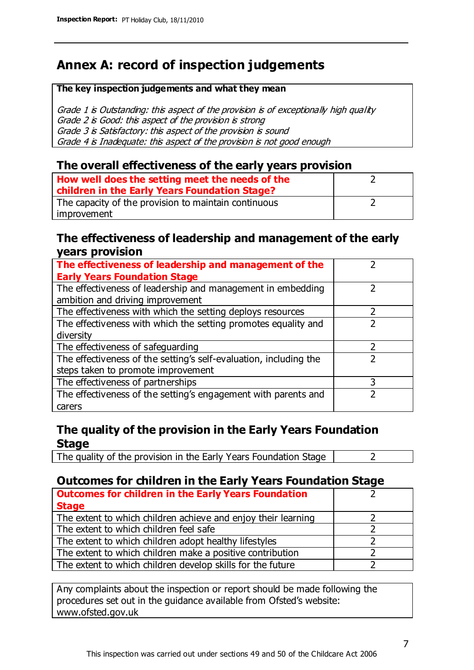# **Annex A: record of inspection judgements**

#### **The key inspection judgements and what they mean**

Grade 1 is Outstanding: this aspect of the provision is of exceptionally high quality Grade 2 is Good: this aspect of the provision is strong Grade 3 is Satisfactory: this aspect of the provision is sound Grade 4 is Inadequate: this aspect of the provision is not good enough

### **The overall effectiveness of the early years provision**

| How well does the setting meet the needs of the<br>children in the Early Years Foundation Stage? |  |
|--------------------------------------------------------------------------------------------------|--|
| The capacity of the provision to maintain continuous                                             |  |
| improvement                                                                                      |  |

### **The effectiveness of leadership and management of the early years provision**

| The effectiveness of leadership and management of the             |   |
|-------------------------------------------------------------------|---|
| <b>Early Years Foundation Stage</b>                               |   |
| The effectiveness of leadership and management in embedding       |   |
| ambition and driving improvement                                  |   |
| The effectiveness with which the setting deploys resources        |   |
| The effectiveness with which the setting promotes equality and    |   |
| diversity                                                         |   |
| The effectiveness of safeguarding                                 |   |
| The effectiveness of the setting's self-evaluation, including the |   |
| steps taken to promote improvement                                |   |
| The effectiveness of partnerships                                 | 3 |
| The effectiveness of the setting's engagement with parents and    |   |
| carers                                                            |   |

## **The quality of the provision in the Early Years Foundation Stage**

The quality of the provision in the Early Years Foundation Stage  $\vert$  2

## **Outcomes for children in the Early Years Foundation Stage**

| <b>Outcomes for children in the Early Years Foundation</b>    |  |
|---------------------------------------------------------------|--|
| <b>Stage</b>                                                  |  |
| The extent to which children achieve and enjoy their learning |  |
| The extent to which children feel safe                        |  |
| The extent to which children adopt healthy lifestyles         |  |
| The extent to which children make a positive contribution     |  |
| The extent to which children develop skills for the future    |  |

Any complaints about the inspection or report should be made following the procedures set out in the guidance available from Ofsted's website: www.ofsted.gov.uk